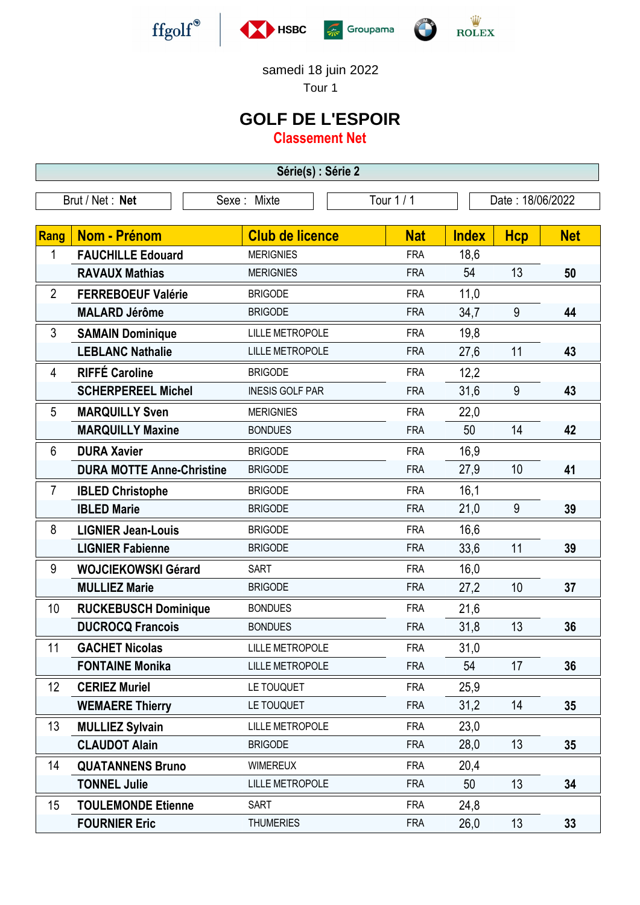







samedi 18 juin 2022

Tour 1

## **GOLF DE L'ESPOIR**

**Classement Net**

**Série(s) : Série 2** Brut / Net : **Net** Sexe : Mixte Tour 1 / 1 Date : 18/06/2022 **Rang Nom - Prénom Club de licence Nat Index Hcp Net** 1 **FAUCHILLE Edouard** MERIGNIES FRA 18.6 **RAVAUX Mathias** MERIGNIES FRA 54 13 50 2 **FERREBOEUF Valérie** BRIGODE FRA 11,0 **MALARD Jérôme** BRIGODE FRA 34,7 9 **44** - 3 **SAMAIN Dominique** LILLE METROPOLE FRA 19,8 **LEBLANC Nathalie** LILLE METROPOLE FRA 27,6 11 **43** 4 **RIFFÉ Caroline** BRIGODE FRA 12,2 **SCHERPEREEL Michel** INESIS GOLF PAR FRA 31,6 9 **43** - 5 **MARQUILLY Sven** MERIGNIES FRA 22,0 **MARQUILLY Maxine** BONDUES FRA 50 14 42 - 6 **DURA Xavier BRIGODE FRA** 16,9 **DURA MOTTE Anne-Christine** BRIGODE FRA 27.9 10 41 7 **IBLED Christophe** BRIGODE FRA 16,1 **IBLED Marie BRIGODE Example 10 and 50 and 50 and 50 and 50 and 50 and 50 and 50 and 50 and 50 and 50 and 50 and 50 and 50 and 50 and 50 and 50 and 50 and 50 and 50 and 50 and 50 and 50 and 50 and 50 and 50 and 50 and** - 8 **LIGNIER Jean-Louis** BRIGODE FRA 16,6 **LIGNIER Fabienne** BRIGODE FRA 33,6 11 **39** 9 **WOJCIEKOWSKI Gérard** SART FRA 16,0 **MULLIEZ Marie** BRIGODE FRA 27,2 10 **37** - 10 **RUCKEBUSCH Dominique** BONDUES FRA 21,6 **DUCROCQ Francois** BONDUES FRA 31,8 13 36 11 **GACHET Nicolas** LILLE METROPOLE FRA 31,0 **FONTAINE Monika** LILLE METROPOLE FRA 54 17 **36** 12 **CERIEZ Muriel LE TOUQUET** FRA 25,9 **WEMAERE Thierry** LE TOUQUET THE RA 31,2 14 35 - 13 **MULLIEZ Sylvain** LILLE METROPOLE FRA 23,0 **CLAUDOT Alain** BRIGODE FRA 28,0 13 **35** 14 **QUATANNENS Bruno** WIMEREUX FRA 20,4 **TONNEL Julie LILLE METROPOLE** FRA 50 13 34 - 15 **TOULEMONDE Etienne** SART FRA 24,8 **FOURNIER Eric** THUMERIES FRA 26.0 13 33